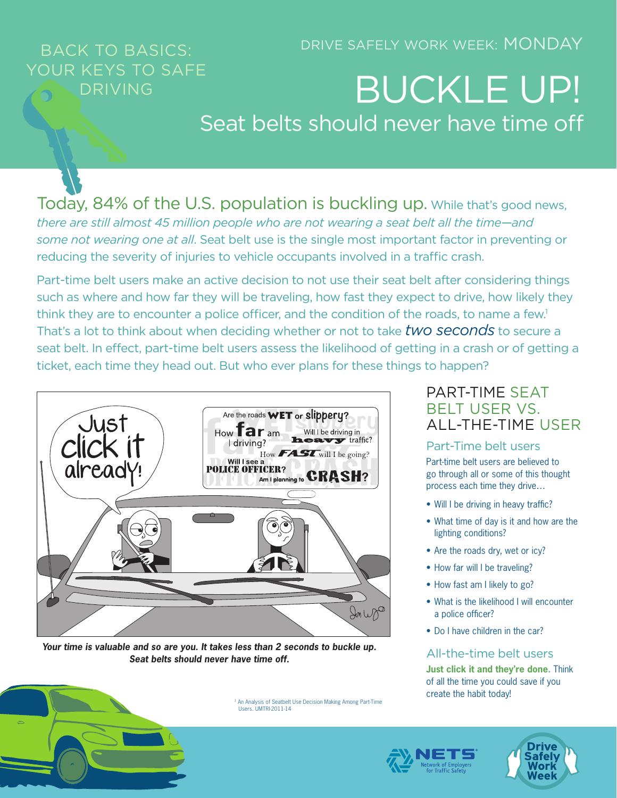### DRIVE SAFELY WORK WEEK: MONDAY

# BACK TO BASICS: YOUR KEYS TO SAFE

# DRIVING **BUCKLE UP!** Seat belts should never have time off

Today, 84% of the U.S. population is buckling up. While that's good news, *there are still almost 45 million people who are not wearing a seat belt all the time—and some not wearing one at all*. Seat belt use is the single most important factor in preventing or reducing the severity of injuries to vehicle occupants involved in a traffic crash.

Part-time belt users make an active decision to not use their seat belt after considering things such as where and how far they will be traveling, how fast they expect to drive, how likely they think they are to encounter a police officer, and the condition of the roads, to name a few.<sup>1</sup> That's a lot to think about when deciding whether or not to take *two seconds* to secure a seat belt. In effect, part-time belt users assess the likelihood of getting in a crash or of getting a ticket, each time they head out. But who ever plans for these things to happen?



*Your time is valuable and so are you. It takes less than 2 seconds to buckle up. Seat belts should never have time off.*

Users. UMTRI-2011-14

### PART-TIME SEAT BELT USER VS. ALL-THE-TIME USER

### Part-Time belt users

Part-time belt users are believed to go through all or some of this thought process each time they drive…

- Will I be driving in heavy traffic?
- What time of day is it and how are the lighting conditions?
- Are the roads dry, wet or icy?
- How far will I be traveling?
- How fast am I likely to go?
- What is the likelihood I will encounter a police officer?
- Do I have children in the car?

### All-the-time belt users

**Just click it and they're done.** Think of all the time you could save if you create the habit today! 1 An Analysis of Seatbelt Use Decision Making Among Part-Time



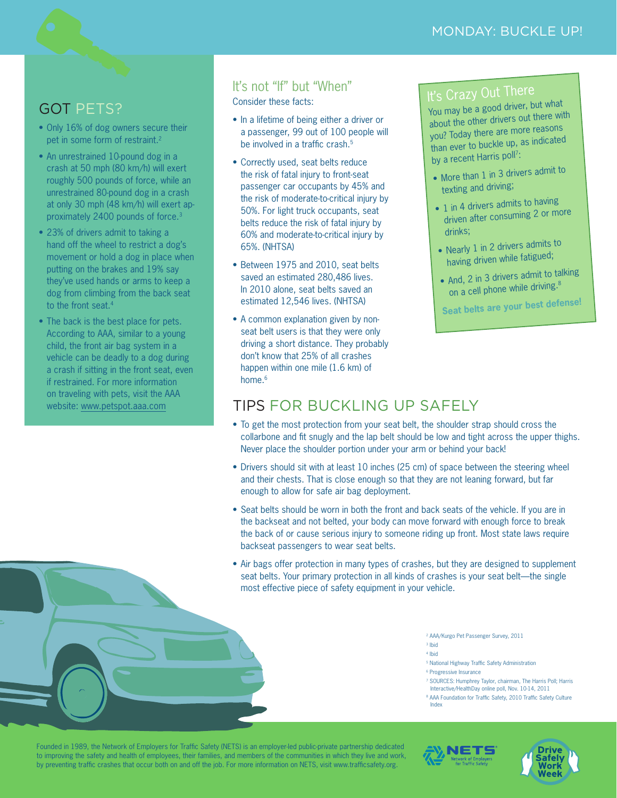## GOT PETS?

- Only 16% of dog owners secure their pet in some form of restraint.<sup>2</sup>
- An unrestrained 10-pound dog in a crash at 50 mph (80 km/h) will exert roughly 500 pounds of force, while an unrestrained 80-pound dog in a crash at only 30 mph (48 km/h) will exert approximately 2400 pounds of force.3
- 23% of drivers admit to taking a hand off the wheel to restrict a dog's movement or hold a dog in place when putting on the brakes and 19% say they've used hands or arms to keep a dog from climbing from the back seat to the front seat.4
- The back is the best place for pets. According to AAA, similar to a young child, the front air bag system in a vehicle can be deadly to a dog during a crash if sitting in the front seat, even if restrained. For more information on traveling with pets, visit the AAA

## It's not "If" but "When"

Consider these facts:

- In a lifetime of being either a driver or a passenger, 99 out of 100 people will be involved in a traffic crash.<sup>5</sup>
- Correctly used, seat belts reduce the risk of fatal injury to front-seat passenger car occupants by 45% and the risk of moderate-to-critical injury by 50%. For light truck occupants, seat belts reduce the risk of fatal injury by 60% and moderate-to-critical injury by 65%. (NHTSA)
- Between 1975 and 2010, seat belts saved an estimated 280,486 lives. In 2010 alone, seat belts saved an estimated 12,546 lives. (NHTSA)
- A common explanation given by nonseat belt users is that they were only driving a short distance. They probably don't know that 25% of all crashes happen within one mile (1.6 km) of home<sup>6</sup>

# It's Crazy Out There

You may be a good driver, but what about the other drivers out there with you? Today there are more reasons than ever to buckle up, as indicated by a recent Harris poll7:

- More than 1 in 3 drivers admit to texting and driving;
- 1 in 4 drivers admits to having driven after consuming 2 or more drinks;
- Nearly 1 in 2 drivers admits to having driven while fatigued;
- And, 2 in 3 drivers admit to talking on a cell phone while driving.<sup>8</sup>

**Seat belts are your best defense!**

# website: [www.petspot.aaa.com](http://www.petspot.aaa.com) **TIPS FOR BUCKLING UP SAFELY**

- To get the most protection from your seat belt, the shoulder strap should cross the collarbone and fit snugly and the lap belt should be low and tight across the upper thighs. Never place the shoulder portion under your arm or behind your back!
- Drivers should sit with at least 10 inches (25 cm) of space between the steering wheel and their chests. That is close enough so that they are not leaning forward, but far enough to allow for safe air bag deployment.
- Seat belts should be worn in both the front and back seats of the vehicle. If you are in the backseat and not belted, your body can move forward with enough force to break the back of or cause serious injury to someone riding up front. Most state laws require backseat passengers to wear seat belts.
- Air bags offer protection in many types of crashes, but they are designed to supplement seat belts. Your primary protection in all kinds of crashes is your seat belt—the single most effective piece of safety equipment in your vehicle.

2 AAA/Kurgo Pet Passenger Survey, 2011 3 Ibid

- 4 Ibid
- 5 National Highway Traffic Safety Administration
- <sup>6</sup> Progressive Insurance
- 7 SOURCES: Humphrey Taylor, chairman, The Harris Poll; Harris Interactive/HealthDay online poll, Nov. 10-14, 2011
- 8 AAA Foundation for Traffic Safety, 2010 Traffic Safety Culture Index

Founded in 1989, the Network of Employers for Traffic Safety (NETS) is an employer-led public-private partnership dedicated to improving the safety and health of employees, their families, and members of the communities in which they live and work, by preventing traffic crashes that occur both on and off the job. For more information on NETS, visit www.trafficsafety.org.